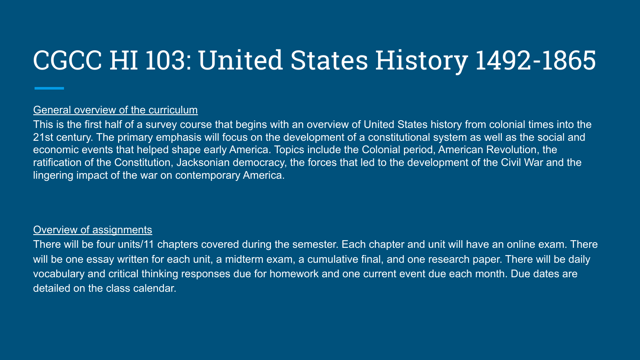## CGCC HI 103: United States History 1492-1865

## General overview of the curriculum

This is the first half of a survey course that begins with an overview of United States history from colonial times into the 21st century. The primary emphasis will focus on the development of a constitutional system as well as the social and economic events that helped shape early America. Topics include the Colonial period, American Revolution, the ratification of the Constitution, Jacksonian democracy, the forces that led to the development of the Civil War and the lingering impact of the war on contemporary America.

### Overview of assignments

There will be four units/11 chapters covered during the semester. Each chapter and unit will have an online exam. There will be one essay written for each unit, a midterm exam, a cumulative final, and one research paper. There will be daily vocabulary and critical thinking responses due for homework and one current event due each month. Due dates are detailed on the class calendar.